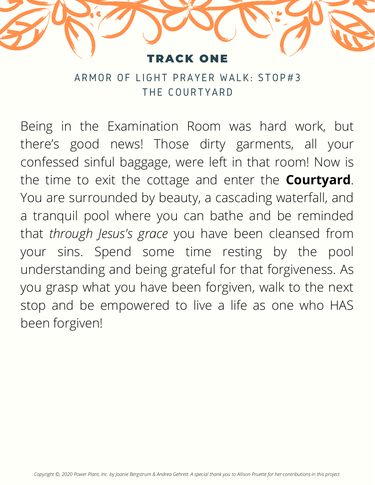

ARMOR OF LIGHT PRAYER WALK: STOP#3 THE COURTYARD

Being in the Examination Room was hard work, but there's good news! Those dirty garments, all your confessed sinful baggage, were left in that room! Now is the time to exit the cottage and enter the **Courtyard**. You are surrounded by beauty, a cascading waterfall, and a tranquil pool where you can bathe and be reminded that *through Jesus's grace* you have been cleansed from your sins. Spend some time resting by the pool understanding and being grateful for that forgiveness. As you grasp what you have been forgiven, walk to the next stop and be empowered to live a life as one who HAS been forgiven!